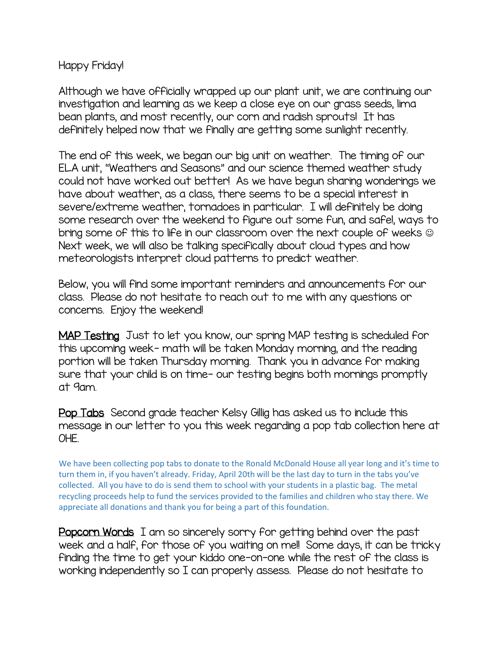## Happy Friday!

Although we have officially wrapped up our plant unit, we are continuing our investigation and learning as we keep a close eye on our grass seeds, lima bean plants, and most recently, our corn and radish sprouts! It has definitely helped now that we finally are getting some sunlight recently.

The end of this week, we began our big unit on weather. The timing of our ELA unit, "Weathers and Seasons" and our science themed weather study could not have worked out better! As we have begun sharing wonderings we have about weather, as a class, there seems to be a special interest in severe/extreme weather, tornadoes in particular. I will definitely be doing some research over the weekend to figure out some fun, and safe!, ways to bring some of this to life in our classroom over the next couple of weeks Next week, we will also be talking specifically about cloud types and how meteorologists interpret cloud patterns to predict weather.

Below, you will find some important reminders and announcements for our class. Please do not hesitate to reach out to me with any questions or concerns. Enjoy the weekend!

MAP Testing Just to let you know, our spring MAP testing is scheduled for this upcoming week- math will be taken Monday morning, and the reading portion will be taken Thursday morning. Thank you in advance for making sure that your child is on time- our testing begins both mornings promptly at 9am.

Pop Tabs Second grade teacher Kelsy Gillig has asked us to include this message in our letter to you this week regarding a pop tab collection here at OHE.

We have been collecting pop tabs to donate to the Ronald McDonald House all year long and it's time to turn them in, if you haven't already. Friday, April 20th will be the last day to turn in the tabs you've collected. All you have to do is send them to school with your students in a plastic bag. The metal recycling proceeds help to fund the services provided to the families and children who stay there. We appreciate all donations and thank you for being a part of this foundation.

Popcorn Words I am so sincerely sorry for getting behind over the past week and a half, for those of you waiting on me!! Some days, it can be tricky finding the time to get your kiddo one-on-one while the rest of the class is working independently so I can properly assess. Please do not hesitate to